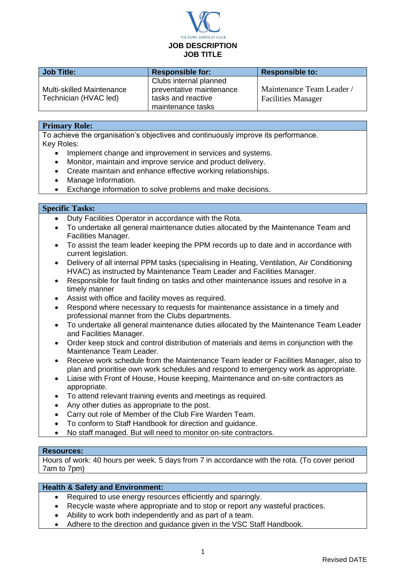

| <b>Job Title:</b>                                         | <b>Responsible for:</b>                                                                       | <b>Responsible to:</b>                                 |
|-----------------------------------------------------------|-----------------------------------------------------------------------------------------------|--------------------------------------------------------|
| <b>Multi-skilled Maintenance</b><br>Technician (HVAC led) | Clubs internal planned<br>preventative maintenance<br>tasks and reactive<br>maintenance tasks | Maintenance Team Leader /<br><b>Facilities Manager</b> |

# **Primary Role:**

To achieve the organisation's objectives and continuously improve its performance. Key Roles:

- Implement change and improvement in services and systems.
- Monitor, maintain and improve service and product delivery.
- Create maintain and enhance effective working relationships.
- Manage Information.
- Exchange information to solve problems and make decisions.

#### **Specific Tasks:**

- Duty Facilities Operator in accordance with the Rota.
- To undertake all general maintenance duties allocated by the Maintenance Team and Facilities Manager.
- To assist the team leader keeping the PPM records up to date and in accordance with current legislation.
- Delivery of all internal PPM tasks (specialising in Heating, Ventilation, Air Conditioning HVAC) as instructed by Maintenance Team Leader and Facilities Manager.
- Responsible for fault finding on tasks and other maintenance issues and resolve in a timely manner
- Assist with office and facility moves as required.
- Respond where necessary to requests for maintenance assistance in a timely and professional manner from the Clubs departments.
- To undertake all general maintenance duties allocated by the Maintenance Team Leader and Facilities Manager.
- Order keep stock and control distribution of materials and items in conjunction with the Maintenance Team Leader.
- Receive work schedule from the Maintenance Team leader or Facilities Manager, also to plan and prioritise own work schedules and respond to emergency work as appropriate.
- Liaise with Front of House, House keeping, Maintenance and on-site contractors as appropriate.
- To attend relevant training events and meetings as required.
- Any other duties as appropriate to the post.
- Carry out role of Member of the Club Fire Warden Team.
- To conform to Staff Handbook for direction and guidance.
- No staff managed. But will need to monitor on-site contractors.

### **Resources:**

Hours of work: 40 hours per week. 5 days from 7 in accordance with the rota. (To cover period 7am to 7pm)

# **Health & Safety and Environment:**

- Required to use energy resources efficiently and sparingly.
- Recycle waste where appropriate and to stop or report any wasteful practices.
- Ability to work both independently and as part of a team.
- Adhere to the direction and guidance given in the VSC Staff Handbook.